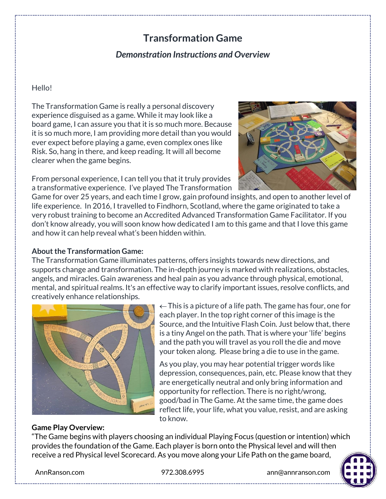# **Transformation Game**

## *Demonstration Instructions and Overview*

#### Hello!

The Transformation Game is really a personal discovery experience disguised as a game. While it may look like a board game, I can assure you that it is so much more. Because it is so much more, I am providing more detail than you would ever expect before playing a game, even complex ones like Risk. So, hang in there, and keep reading. It will all become clearer when the game begins.

From personal experience, I can tell you that it truly provides a transformative experience. I've played The Transformation



Game for over 25 years, and each time I grow, gain profound insights, and open to another level of life experience. In 2016, I travelled to Findhorn, Scotland, where the game originated to take a very robust training to become an Accredited Advanced Transformation Game Facilitator. If you don't know already, you will soon know how dedicated I am to this game and that I love this game and how it can help reveal what's been hidden within.

#### **About the Transformation Game:**

The Transformation Game illuminates patterns, offers insights towards new directions, and supports change and transformation. The in-depth journey is marked with realizations, obstacles, angels, and miracles. Gain awareness and heal pain as you advance through physical, emotional, mental, and spiritual realms. It's an effective way to clarify important issues, resolve conflicts, and creatively enhance relationships.



 $\leftarrow$  This is a picture of a life path. The game has four, one for each player. In the top right corner of this image is the Source, and the Intuitive Flash Coin. Just below that, there is a tiny Angel on the path. That is where your 'life' begins and the path you will travel as you roll the die and move your token along. Please bring a die to use in the game.

As you play, you may hear potential trigger words like depression, consequences, pain, etc. Please know that they are energetically neutral and only bring information and opportunity for reflection. There is no right/wrong, good/bad in The Game. At the same time, the game does reflect life, your life, what you value, resist, and are asking to know.

#### **Game Play Overview:**

"The Game begins with players choosing an individual Playing Focus (question or intention) which provides the foundation of the Game. Each player is born onto the Physical level and will then receive a red Physical level Scorecard. As you move along your Life Path on the game board,



AnnRanson.com 972.308.6995 ann@annranson.com